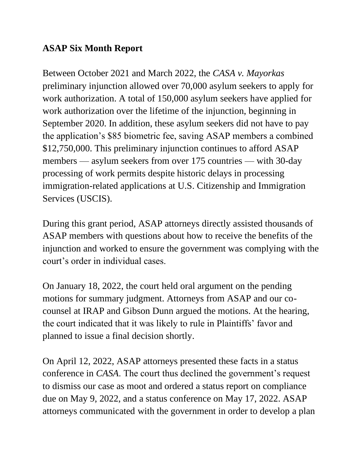## **ASAP Six Month Report**

Between October 2021 and March 2022, the *CASA v. Mayorkas*  preliminary injunction allowed over 70,000 asylum seekers to apply for work authorization. A total of 150,000 asylum seekers have applied for work authorization over the lifetime of the injunction, beginning in September 2020. In addition, these asylum seekers did not have to pay the application's \$85 biometric fee, saving ASAP members a combined \$12,750,000. This preliminary injunction continues to afford ASAP members — asylum seekers from over 175 countries — with 30-day processing of work permits despite historic delays in processing immigration-related applications at U.S. Citizenship and Immigration Services (USCIS).

During this grant period, ASAP attorneys directly assisted thousands of ASAP members with questions about how to receive the benefits of the injunction and worked to ensure the government was complying with the court's order in individual cases.

On January 18, 2022, the court held oral argument on the pending motions for summary judgment. Attorneys from ASAP and our cocounsel at IRAP and Gibson Dunn argued the motions. At the hearing, the court indicated that it was likely to rule in Plaintiffs' favor and planned to issue a final decision shortly.

On April 12, 2022, ASAP attorneys presented these facts in a status conference in *CASA*. The court thus declined the government's request to dismiss our case as moot and ordered a status report on compliance due on May 9, 2022, and a status conference on May 17, 2022. ASAP attorneys communicated with the government in order to develop a plan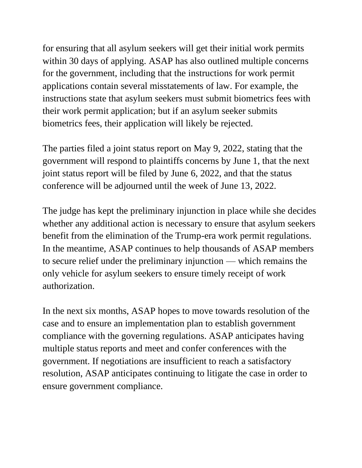for ensuring that all asylum seekers will get their initial work permits within 30 days of applying. ASAP has also outlined multiple concerns for the government, including that the instructions for work permit applications contain several misstatements of law. For example, the instructions state that asylum seekers must submit biometrics fees with their work permit application; but if an asylum seeker submits biometrics fees, their application will likely be rejected.

The parties filed a joint status report on May 9, 2022, stating that the government will respond to plaintiffs concerns by June 1, that the next joint status report will be filed by June 6, 2022, and that the status conference will be adjourned until the week of June 13, 2022.

The judge has kept the preliminary injunction in place while she decides whether any additional action is necessary to ensure that asylum seekers benefit from the elimination of the Trump-era work permit regulations. In the meantime, ASAP continues to help thousands of ASAP members to secure relief under the preliminary injunction — which remains the only vehicle for asylum seekers to ensure timely receipt of work authorization.

In the next six months, ASAP hopes to move towards resolution of the case and to ensure an implementation plan to establish government compliance with the governing regulations. ASAP anticipates having multiple status reports and meet and confer conferences with the government. If negotiations are insufficient to reach a satisfactory resolution, ASAP anticipates continuing to litigate the case in order to ensure government compliance.